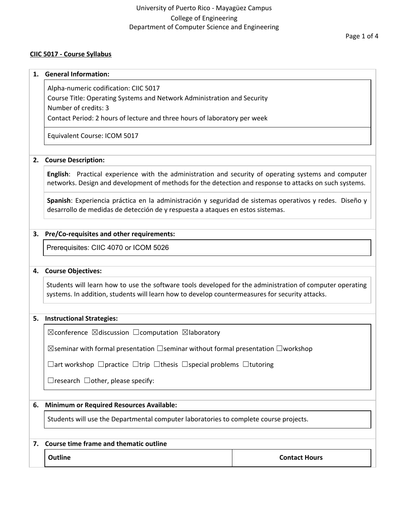# University of Puerto Rico - Mayagüez Campus College of Engineering Department of Computer Science and Engineering

#### **CIIC 5017 - Course Syllabus**

#### **1. General Information:**

Alpha-numeric codification: CIIC 5017

Course Title: Operating Systems and Network Administration and Security

Number of credits: 3

Contact Period: 2 hours of lecture and three hours of laboratory per week

Equivalent Course: ICOM 5017

#### **2. Course Description:**

**English**: Practical experience with the administration and security of operating systems and computer networks. Design and development of methods for the detection and response to attacks on such systems.

**Spanish**: Experiencia práctica en la administración y seguridad de sistemas operativos y redes. Diseño y desarrollo de medidas de detección de y respuesta a ataques en estos sistemas.

### **3. Pre/Co-requisites and other requirements:**

Prerequisites: CIIC 4070 or ICOM 5026

#### **4. Course Objectives:**

Students will learn how to use the software tools developed for the administration of computer operating systems. In addition, students will learn how to develop countermeasures for security attacks.

#### **5. Instructional Strategies:**

 $\boxtimes$ conference  $\boxtimes$ discussion  $\Box$ computation  $\boxtimes$ laboratory

☒seminar with formal presentation ☐seminar without formal presentation ☐workshop

☐art workshop ☐practice ☐trip ☐thesis ☐special problems ☐tutoring

 $\Box$ research  $\Box$ other, please specify:

#### **6. Minimum or Required Resources Available:**

Students will use the Departmental computer laboratories to complete course projects.

#### **7. Course time frame and thematic outline**

**Outline Contact Hours**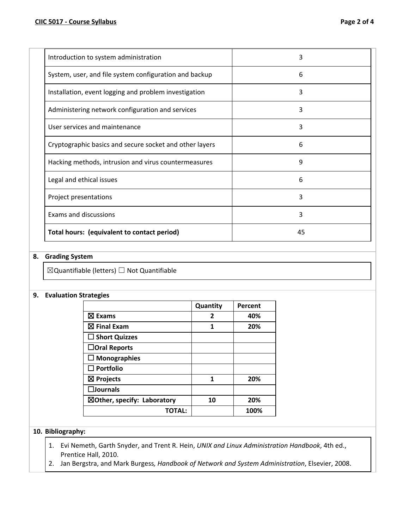| Introduction to system administration                   | 3  |
|---------------------------------------------------------|----|
| System, user, and file system configuration and backup  | 6  |
| Installation, event logging and problem investigation   | 3  |
| Administering network configuration and services        | 3  |
| User services and maintenance                           | 3  |
| Cryptographic basics and secure socket and other layers | 6  |
| Hacking methods, intrusion and virus countermeasures    | 9  |
| Legal and ethical issues                                | 6  |
| Project presentations                                   | 3  |
| Exams and discussions                                   | 3  |
| Total hours: (equivalent to contact period)             | 45 |

# **8. Grading System**

☒Quantifiable (letters) ☐ Not Quantifiable

#### **9. Evaluation Strategies**

|                                        | Quantity | Percent |
|----------------------------------------|----------|---------|
| $\boxtimes$ Exams                      | 2        | 40%     |
| $\boxtimes$ Final Exam                 | 1        | 20%     |
| $\square$ Short Quizzes                |          |         |
| $\Box$ Oral Reports                    |          |         |
| $\Box$ Monographies                    |          |         |
| $\Box$ Portfolio                       |          |         |
| $\boxtimes$ Projects                   | 1        | 20%     |
| $\square$ Journals                     |          |         |
| $\boxtimes$ Other, specify: Laboratory | 10       | 20%     |
| TOTAL:                                 |          | 100%    |

#### **10. Bibliography:**

- 1. Evi Nemeth, Garth Snyder, and Trent R. Hein, *UNIX and Linux Administration Handbook*, 4th ed., Prentice Hall, 2010.
- 2. Jan Bergstra, and Mark Burgess*, Handbook of Network and System Administration*, Elsevier, 2008.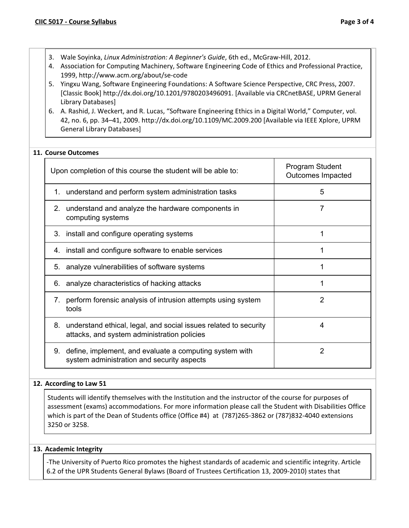- 3. Wale Soyinka, *Linux Administration: A Beginner's Guide*, 6th ed., McGraw-Hill, 2012.
- 4. Association for Computing Machinery, Software Engineering Code of Ethics and Professional Practice, 1999, http://www.acm.org/about/se-code
- 5. Yingxu Wang, Software Engineering Foundations: A Software Science Perspective, CRC Press, 2007. [Classic Book] http://dx.doi.org/10.1201/9780203496091. [Available via CRCnetBASE, UPRM General Library Databases]
- 6. A. Rashid, J. Weckert, and R. Lucas, "Software Engineering Ethics in a Digital World," Computer, vol. 42, no. 6, pp. 34–41, 2009. http://dx.doi.org/10.1109/MC.2009.200 [Available via IEEE Xplore, UPRM General Library Databases]

# **11. Course Outcomes**

| Upon completion of this course the student will be able to:                                                           | Program Student<br><b>Outcomes Impacted</b> |
|-----------------------------------------------------------------------------------------------------------------------|---------------------------------------------|
| 1. understand and perform system administration tasks                                                                 | 5                                           |
| understand and analyze the hardware components in<br>$2_{\cdot}$<br>computing systems                                 | 7                                           |
| 3. install and configure operating systems                                                                            | 1                                           |
| 4. install and configure software to enable services                                                                  | 1                                           |
| analyze vulnerabilities of software systems<br>5.                                                                     | 1                                           |
| analyze characteristics of hacking attacks<br>6.                                                                      | 1                                           |
| perform forensic analysis of intrusion attempts using system<br>$7_{\scriptscriptstyle{\sim}}$<br>tools               | 2                                           |
| 8.<br>understand ethical, legal, and social issues related to security<br>attacks, and system administration policies | 4                                           |
| define, implement, and evaluate a computing system with<br>9.<br>system administration and security aspects           | 2                                           |

### **12. According to Law 51**

Students will identify themselves with the Institution and the instructor of the course for purposes of assessment (exams) accommodations. For more information please call the Student with Disabilities Office which is part of the Dean of Students office (Office #4) at (787)265-3862 or (787)832-4040 extensions 3250 or 3258.

### **13. Academic Integrity**

-The University of Puerto Rico promotes the highest standards of academic and scientific integrity. Article 6.2 of the UPR Students General Bylaws (Board of Trustees Certification 13, 2009-2010) states that